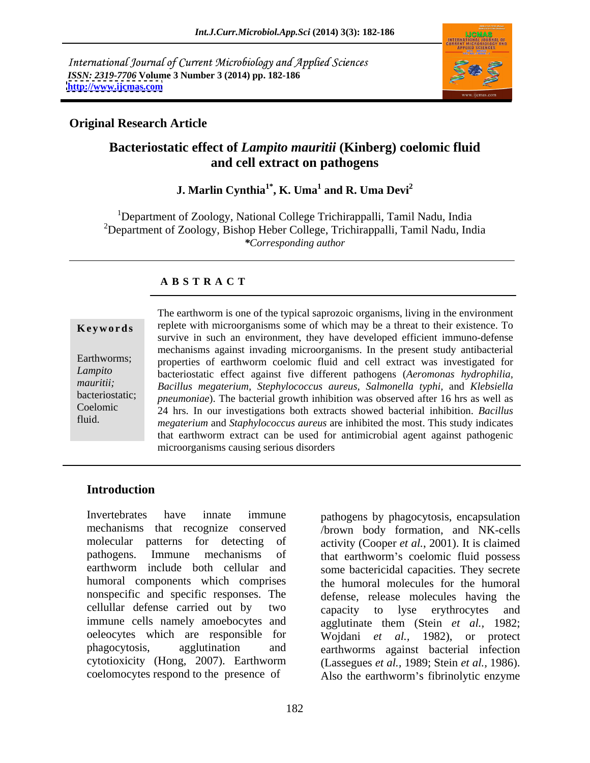International Journal of Current Microbiology and Applied Sciences *ISSN: 2319-7706* **Volume 3 Number 3 (2014) pp. 182-186 <http://www.ijcmas.com>**



# **Original Research Article**

# **Bacteriostatic effect of** *Lampito mauritii* **(Kinberg) coelomic fluid and cell extract on pathogens**

#### ${\bf J.}$  Marlin Cynthia $^{\bf 1^*}, {\bf K.}$  Uma $^{\bf 1}$  and  ${\bf R.}$  Uma Devi $^{\bf 2}$  **and R. Uma Devi<sup>2</sup>**

<sup>1</sup>Department of Zoology, National College Trichirappalli, Tamil Nadu, India <sup>2</sup>Department of Zoology, Bishop Heber College, Trichirappalli, Tamil Nadu, India *\*Corresponding author*

# **A B S T R A C T**

**Keywords** replete with microorganisms some of which may be a threat to their existence. To Earthworms; properties of earthworm coelomic fluid and cell extract was investigated for *Lampito*  bacteriostatic effect against five different pathogens (*Aeromonas hydrophilia, mauritii; Bacillus megaterium, Stephylococcus aureus, Salmonella typhi,* and *Klebsiella*  bacteriostatic; *pneumoniae*). The bacterial growth inhibition was observed after 16 hrs as well as Coelomic 24 hrs. In our investigations both extracts showed bacterial inhibition. *Bacillus*  fluid. *megaterium* and *Staphylococcus aureus* are inhibited the most. This study indicates The earthworm is one of the typical saprozoic organisms, living in the environment survive in such an environment, they have developed efficient immuno-defense mechanisms against invading microorganisms. In the present study antibacterial that earthworm extract can be used for antimicrobial agent against pathogenic microorganisms causing serious disorders

# **Introduction**

Invertebrates have innate immune pathogens by phagocytosis, encapsulation mechanisms that recognize conserved /brown body formation, and NK-cells molecular patterns for detecting of activity (Cooper *et al.*, 2001). It is claimed pathogens. Immune mechanisms of that earthworm's coelomic fluid possess earthworm include both cellular and some bactericidal capacities. They secrete humoral components which comprises the humoral molecules for the humoral nonspecific and specific responses. The cellullar defense carried out by two capacity to lyse erythrocytes and immune cells namely amoebocytes and oeleocytes which are responsible for Wojdani *et al.,* 1982), or protect phagocytosis, agglutination and earthworms against bacterial infection cytotioxicity (Hong, 2007). Earthworm

coelomocytes respond to the presence of Also the earthworm's fibrinolytic enzyme defense, release molecules having the capacity to lyse erythrocytes and agglutinate them (Stein *et al.,* 1982; (Lassegues *et al.,* 1989; Stein *et al.,* 1986).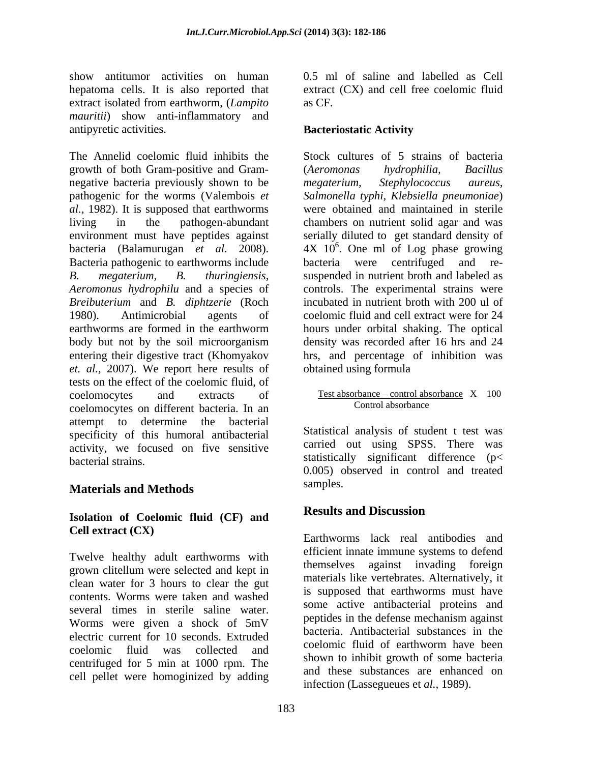show antitumor activities on human hepatoma cells. It is also reported that extract isolated from earthworm, (*Lampito mauritii*) show anti-inflammatory and antipyretic activities. Bacteriostatic Activity

The Annelid coelomic fluid inhibits the Stock cultures of 5 strains of bacteria growth of both Gram-positive and Gram negative bacteria previously shown to be *megaterium*, *Stephylococcus aureus*, pathogenic for the worms (Valembois *et al.,* 1982). It is supposed that earthworms living in the pathogen-abundant chambers on nutrient solid agarand was environment must have peptides against serially diluted to get standard density of bacteria (Balamurugan *et al.* 2008). 4X 10<sup>6</sup>. One ml of Log phase growing<br>Bacteria pathogenic to earthworms include bacteria were centrifuged and re-*B. megaterium, B. thuringiensis,* suspended in nutrient broth and labeled as *Aeromonus hydrophilu* and a species of controls. The experimental strains were *Breibuterium* and *B. diphtzerie* (Roch 1980). Antimicrobial agents of coelomic fluid and cell extract were for 24 earthworms are formed in the earthworm hours under orbital shaking. The optical body but not by the soil microorganism density was recorded after 16 hrs and 24 entering their digestive tract (Khomyakov hrs, and percentage of inhibition was *et. al.,* 2007). We report here results of tests on the effect of the coelomic fluid, of coelomocytes and extracts of Test absorbance control absorbance X 100 coelomocytes on different bacteria. In an attempt to determine the bacterial specificity of this humoral antibacterial activity, we focused on five sensitive bacterial strains. statistically significant difference (p<

# **Materials and Methods**

# **Isolation of Coelomic fluid (CF) and**

Twelve healthy adult earthworms with grown clitellum were selected and kept in clean water for 3 hours to clear the gut contents. Worms were taken and washed several times in sterile saline water.<br>Being some active antibacterial proteins and<br>pentides in the defense mechanism against Worms were given a shock of 5mV electric current for 10 seconds. Extruded coelomic fluid was collected and coefficient that of early interesting the coefficients centrifuged for 5 min at 1000 rpm. The cell pellet were homoginized by adding

0.5 ml of saline and labelled as Cell extract (CX) and cell free coelomic fluid as CF.

### **Bacteriostatic Activity**

(*Aeromonas hydrophilia, Bacillus megaterium, Stephylococcus aureus, Salmonella typhi, Klebsiella pneumoniae*) were obtained and maintained in sterile  $4X$   $10^6$ . One ml of Log phase growing bacteria were centrifuged and re incubated in nutrient broth with 200 ul of obtained using formula

# Control absorbance

Statistical analysis of student t test was carried out using SPSS. There was 0.005) observed in control and treated samples.

# **Results and Discussion**

**Cell extract (CX)** Earthworms lack real antibodies and efficient innate immune systems to defend themselves against invading foreign materials like vertebrates. Alternatively, it is supposed that earthworms must have some active antibacterial proteins and peptides in the defense mechanism against bacteria. Antibacterial substances in the coelomic fluid of earthworm have been shown to inhibit growth of some bacteria and these substances are enhanced on infection (Lassegueues et *al.,* 1989).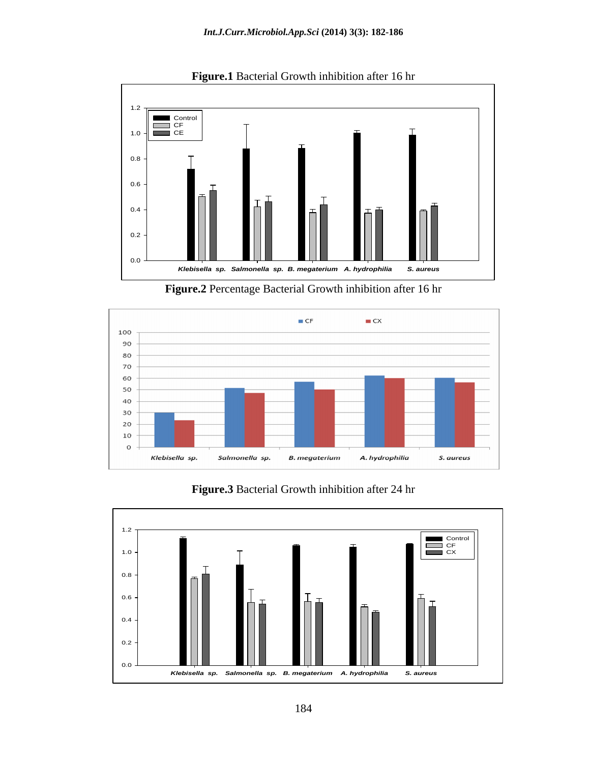

**Figure.1** Bacterial Growth inhibition after 16 hr

**Figure.2** Percentage Bacterial Growth inhibition after 16 hr





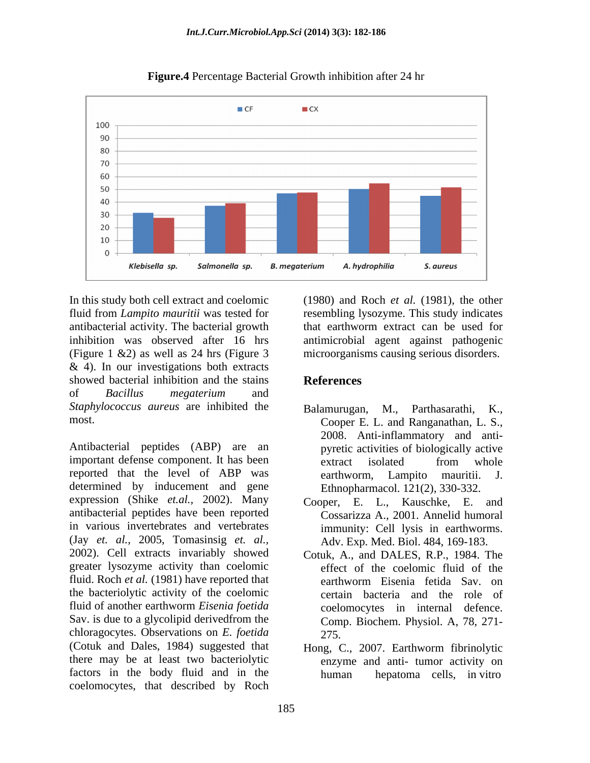

**Figure.4** Percentage Bacterial Growth inhibition after 24 hr

In this study both cell extract and coelomic (1980) and Roch *et al.* (1981), the other fluid from *Lampito mauritii* was tested for resembling lysozyme. This study indicates antibacterial activity. The bacterial growth inhibition was observed after 16 hrs antimicrobial agent against pathogenic (Figure 1 &2) as well as 24 hrs (Figure 3 microorganisms causing serious disorders.  $& 4$ ). In our investigations both extracts showed bacterial inhibition and the stains References of *Bacillus megaterium* and *Staphylococcus aureus* are inhibited the

Antibacterial peptides (ABP) are an important defense component. It has been extract isolated from whole reported that the level of ABP was earthworm, Lampito mauritii. J. determined by inducement and gene expression (Shike *et.al.,* 2002). Many antibacterial peptides have been reported in various invertebrates and vertebrates immunity: Cell lysis in earthworms. (Jay *et. al.,* 2005, Tomasinsig *et. al.,* 2002). Cell extracts invariably showed greater lysozyme activity than coelomic fluid. Roch *et al.* (1981) have reported that earthworm Eisenia fetida Sav. on the bacteriolytic activity of the coelomic fluid of another earthworm *Eisenia foetida* Sav. is due to a glycolipid derivedfrom the chloragocytes. Observations on *E. foetida*  (Cotuk and Dales, 1984) suggested that there may be at least two bacteriolytic factors in the body fluid and in the coelomocytes, that described by Roch

that earthworm extract can be used for

# **References**

- most. Cooper E. L. and Ranganathan, L. S., M., Parthasarathi, 2008. Anti-inflammatory and anti pyretic activities of biologically active extract isolated from whole earthworm, Lampito mauritii. J. Ethnopharmacol. 121(2), 330-332.
	- Cooper, E. L., Kauschke, E. and Cossarizza A., 2001. Annelid humoral Adv. Exp. Med. Biol. 484, 169-183.
	- Cotuk, A., and DALES, R.P., 1984. The effect of the coelomic fluid of the earthworm Eisenia fetida Sav. on certain bacteria and the role of coelomocytes in internal defence. Comp. Biochem. Physiol. A, 78, 271- 275.
	- Hong, C., 2007. Earthworm fibrinolytic enzyme and anti- tumor activity on hepatoma cells, in vitro